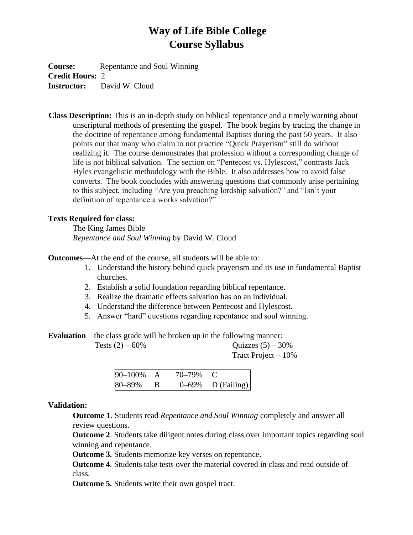# **Way of Life Bible College Course Syllabus**

**Course:** Repentance and Soul Winning **Credit Hours:** 2 **Instructor:** David W. Cloud

**Class Description:** This is an in-depth study on biblical repentance and a timely warning about unscriptural methods of presenting the gospel. The book begins by tracing the change in the doctrine of repentance among fundamental Baptists during the past 50 years. It also points out that many who claim to not practice "Quick Prayerism" still do without realizing it. The course demonstrates that profession without a corresponding change of life is not biblical salvation. The section on "Pentecost vs. Hylescost," contrasts Jack Hyles evangelistic methodology with the Bible. It also addresses how to avoid false converts. The book concludes with answering questions that commonly arise pertaining to this subject, including "Are you preaching lordship salvation?" and "Isn't your definition of repentance a works salvation?"

#### **Texts Required for class:**

The King James Bible *Repentance and Soul Winning* by David W. Cloud

**Outcomes**—At the end of the course, all students will be able to:

- 1. Understand the history behind quick prayerism and its use in fundamental Baptist churches.
- 2. Establish a solid foundation regarding biblical repentance.
- 3. Realize the dramatic effects salvation has on an individual.
- 4. Understand the difference between Pentecost and Hylescost.
- 5. Answer "hard" questions regarding repentance and soul winning.

**Evaluation**—the class grade will be broken up in the following manner:

Tests  $(2) - 60\%$  Quizzes  $(5) - 30\%$ Tract Project – 10%

| 90-100% | 70–79% |                      |
|---------|--------|----------------------|
| 80-89%  |        | $0-69\%$ D (Failing) |

#### **Validation:**

**Outcome 1**. Students read *Repentance and Soul Winning* completely and answer all review questions.

**Outcome 2**. Students take diligent notes during class over important topics regarding soul winning and repentance.

**Outcome 3.** Students memorize key verses on repentance.

**Outcome 4**. Students take tests over the material covered in class and read outside of class.

**Outcome 5.** Students write their own gospel tract.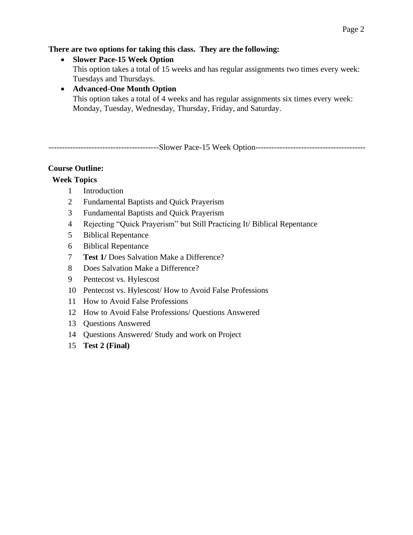#### **There are two options for taking this class. They are the following:**

• **Slower Pace-15 Week Option** This option takes a total of 15 weeks and has regular assignments two times every week: Tuesdays and Thursdays.

## • **Advanced-One Month Option** This option takes a total of 4 weeks and has regular assignments six times every week: Monday, Tuesday, Wednesday, Thursday, Friday, and Saturday.

-----------------------------------------Slower Pace-15 Week Option-----------------------------------------

#### **Course Outline:**

# **Week Topics**

- 1 Introduction
- 2 Fundamental Baptists and Quick Prayerism
- 3 Fundamental Baptists and Quick Prayerism
- 4 Rejecting "Quick Prayerism" but Still Practicing It/ Biblical Repentance
- 5 Biblical Repentance
- 6 Biblical Repentance
- 7 **Test 1/** Does Salvation Make a Difference?
- 8 Does Salvation Make a Difference?
- 9 Pentecost vs. Hylescost
- 10 Pentecost vs. Hylescost/ How to Avoid False Professions
- 11 How to Avoid False Professions
- 12 How to Avoid False Professions/ Questions Answered
- 13 Questions Answered
- 14 Questions Answered/ Study and work on Project
- 15 **Test 2 (Final)**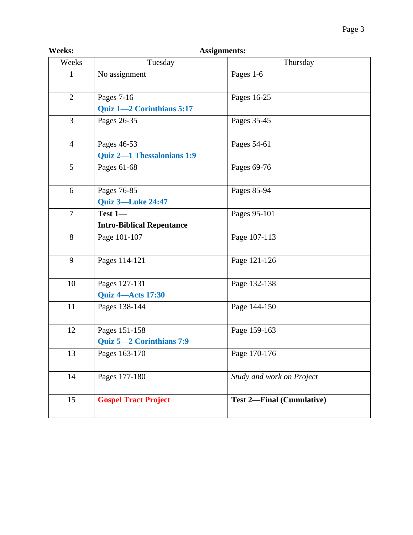| <b>Weeks:</b>  | <b>Assignments:</b>              |                                  |  |  |  |
|----------------|----------------------------------|----------------------------------|--|--|--|
| Weeks          | Tuesday                          | Thursday                         |  |  |  |
| 1              | No assignment                    | Pages 1-6                        |  |  |  |
| $\overline{2}$ | Pages 7-16                       | Pages 16-25                      |  |  |  |
|                | Quiz 1-2 Corinthians 5:17        |                                  |  |  |  |
| $\overline{3}$ | Pages 26-35                      | Pages 35-45                      |  |  |  |
| $\overline{4}$ | Pages 46-53                      | Pages 54-61                      |  |  |  |
|                | Quiz 2-1 Thessalonians 1:9       |                                  |  |  |  |
| 5              | Pages 61-68                      | Pages 69-76                      |  |  |  |
| 6              | Pages 76-85                      | Pages 85-94                      |  |  |  |
|                | <b>Quiz 3-Luke 24:47</b>         |                                  |  |  |  |
| $\tau$         | Test 1-                          | Pages 95-101                     |  |  |  |
|                | <b>Intro-Biblical Repentance</b> |                                  |  |  |  |
| 8              | Page 101-107                     | Page 107-113                     |  |  |  |
| 9              | Pages 114-121                    | Page 121-126                     |  |  |  |
| 10             | Pages 127-131                    | Page 132-138                     |  |  |  |
|                | <b>Quiz 4-Acts 17:30</b>         |                                  |  |  |  |
| 11             | Pages 138-144                    | Page 144-150                     |  |  |  |
| 12             | Pages 151-158                    | Page 159-163                     |  |  |  |
|                | Quiz 5-2 Corinthians 7:9         |                                  |  |  |  |
| 13             | Pages 163-170                    | Page 170-176                     |  |  |  |
| 14             | Pages 177-180                    | Study and work on Project        |  |  |  |
| 15             | <b>Gospel Tract Project</b>      | <b>Test 2-Final (Cumulative)</b> |  |  |  |
|                |                                  |                                  |  |  |  |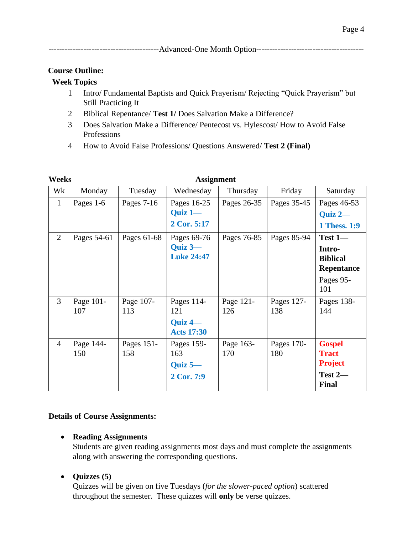|--|--|

#### **Course Outline:**

#### **Week Topics**

- 1 Intro/ Fundamental Baptists and Quick Prayerism/ Rejecting "Quick Prayerism" but Still Practicing It
- 2 Biblical Repentance/ **Test 1/** Does Salvation Make a Difference?
- 3 Does Salvation Make a Difference/ Pentecost vs. Hylescost/ How to Avoid False Professions
- 4 How to Avoid False Professions/ Questions Answered/ **Test 2 (Final)**

| Weeks          |                  |                   | <b>Assignment</b>                                         |                  |                   |                                                                            |
|----------------|------------------|-------------------|-----------------------------------------------------------|------------------|-------------------|----------------------------------------------------------------------------|
| Wk             | Monday           | Tuesday           | Wednesday                                                 | Thursday         | Friday            | Saturday                                                                   |
| $\mathbf{1}$   | Pages 1-6        | Pages $7-16$      | Pages 16-25<br>Quiz $1-$<br>2 Cor. 5:17                   | Pages 26-35      | Pages 35-45       | Pages 46-53<br>Quiz 2-<br>1 Thess. 1:9                                     |
| 2              | Pages 54-61      | Pages 61-68       | Pages 69-76<br>$Quiz$ 3-<br><b>Luke 24:47</b>             | Pages 76-85      | Pages 85-94       | $Test 1 -$<br>Intro-<br><b>Biblical</b><br>Repentance<br>Pages 95-<br>101  |
| $\overline{3}$ | Page 101-<br>107 | Page 107-<br>113  | Pages 114-<br>121<br><b>Quiz 4</b> —<br><b>Acts 17:30</b> | Page 121-<br>126 | Pages 127-<br>138 | Pages 138-<br>144                                                          |
| $\overline{4}$ | Page 144-<br>150 | Pages 151-<br>158 | Pages 159-<br>163<br>Quiz $5-$<br>2 Cor. 7:9              | Page 163-<br>170 | Pages 170-<br>180 | <b>Gospel</b><br><b>Tract</b><br><b>Project</b><br>Test 2-<br><b>Final</b> |

#### **Details of Course Assignments:**

#### • **Reading Assignments**

Students are given reading assignments most days and must complete the assignments along with answering the corresponding questions.

#### • **Quizzes (5)**

Quizzes will be given on five Tuesdays (*for the slower-paced option*) scattered throughout the semester. These quizzes will **only** be verse quizzes.